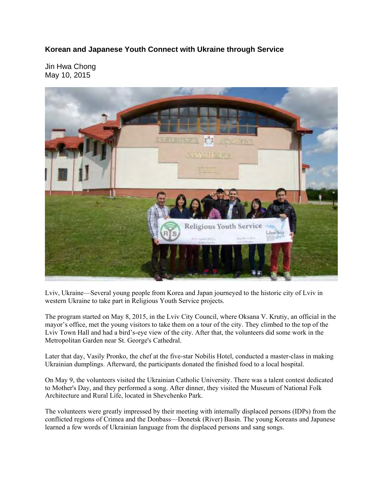## **Korean and Japanese Youth Connect with Ukraine through Service**

Jin Hwa Chong May 10, 2015



Lviv, Ukraine—Several young people from Korea and Japan journeyed to the historic city of Lviv in western Ukraine to take part in Religious Youth Service projects.

The program started on May 8, 2015, in the Lviv City Council, where Oksana V. Krutiy, an official in the mayor's office, met the young visitors to take them on a tour of the city. They climbed to the top of the Lviv Town Hall and had a bird's-eye view of the city. After that, the volunteers did some work in the Metropolitan Garden near St. George's Cathedral.

Later that day, Vasily Pronko, the chef at the five-star Nobilis Hotel, conducted a master-class in making Ukrainian dumplings. Afterward, the participants donated the finished food to a local hospital.

On May 9, the volunteers visited the Ukrainian Catholic University. There was a talent contest dedicated to Mother's Day, and they performed a song. After dinner, they visited the Museum of National Folk Architecture and Rural Life, located in Shevchenko Park.

The volunteers were greatly impressed by their meeting with internally displaced persons (IDPs) from the conflicted regions of Crimea and the Donbass—Donetsk (River) Basin. The young Koreans and Japanese learned a few words of Ukrainian language from the displaced persons and sang songs.